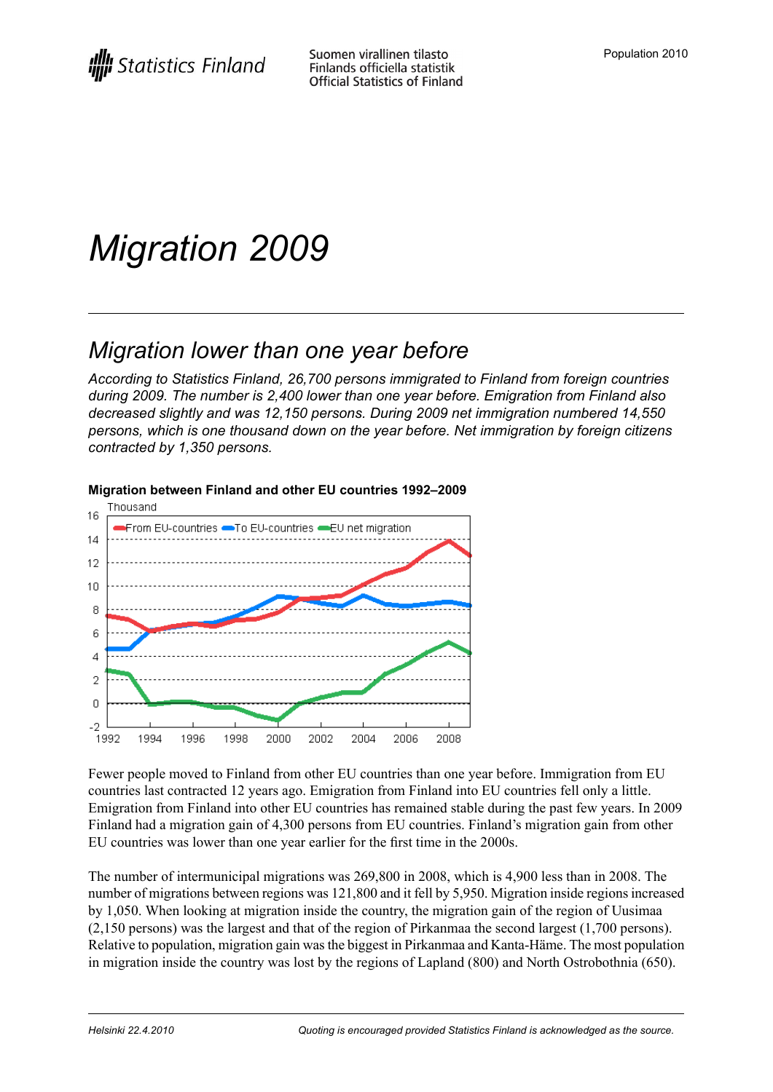# *Migration 2009*

## *Migration lower than one year before*

*According to Statistics Finland, 26,700 persons immigrated to Finland from foreign countries during 2009. The number is 2,400 lower than one year before. Emigration from Finland also decreased slightly and was 12,150 persons. During 2009 net immigration numbered 14,550 persons, which is one thousand down on the year before. Net immigration by foreign citizens contracted by 1,350 persons.*



#### **Migration between Finland and other EU countries 1992–2009**

Fewer people moved to Finland from other EU countries than one year before. Immigration from EU countries last contracted 12 years ago. Emigration from Finland into EU countries fell only a little. Emigration from Finland into other EU countries has remained stable during the past few years. In 2009 Finland had a migration gain of 4,300 persons from EU countries. Finland's migration gain from other EU countries was lower than one year earlier for the first time in the 2000s.

The number of intermunicipal migrations was 269,800 in 2008, which is 4,900 less than in 2008. The number of migrations between regions was 121,800 and it fell by 5,950. Migration inside regions increased by 1,050. When looking at migration inside the country, the migration gain of the region of Uusimaa (2,150 persons) was the largest and that of the region of Pirkanmaa the second largest (1,700 persons). Relative to population, migration gain wasthe biggest in Pirkanmaa and Kanta-Häme. The most population in migration inside the country was lost by the regions of Lapland (800) and North Ostrobothnia (650).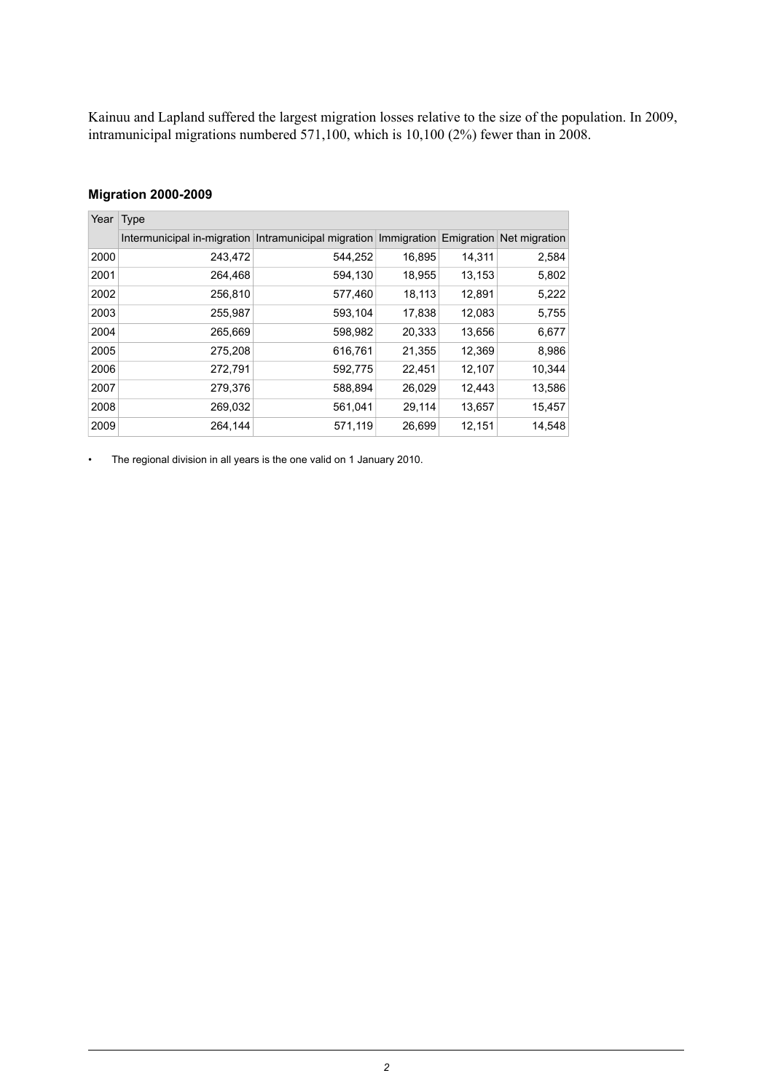Kainuu and Lapland suffered the largest migration losses relative to the size of the population. In 2009, intramunicipal migrations numbered 571,100, which is 10,100 (2%) fewer than in 2008.

#### **Migration 2000-2009**

| Year | Type                                                                                      |         |        |        |        |  |
|------|-------------------------------------------------------------------------------------------|---------|--------|--------|--------|--|
|      | Intermunicipal in-migration Intramunicipal migration Immigration Emigration Net migration |         |        |        |        |  |
| 2000 | 243,472                                                                                   | 544,252 | 16,895 | 14,311 | 2,584  |  |
| 2001 | 264,468                                                                                   | 594,130 | 18,955 | 13,153 | 5,802  |  |
| 2002 | 256,810                                                                                   | 577,460 | 18,113 | 12,891 | 5,222  |  |
| 2003 | 255,987                                                                                   | 593,104 | 17,838 | 12,083 | 5,755  |  |
| 2004 | 265,669                                                                                   | 598,982 | 20,333 | 13,656 | 6,677  |  |
| 2005 | 275,208                                                                                   | 616,761 | 21,355 | 12,369 | 8,986  |  |
| 2006 | 272,791                                                                                   | 592,775 | 22,451 | 12,107 | 10,344 |  |
| 2007 | 279,376                                                                                   | 588,894 | 26,029 | 12,443 | 13,586 |  |
| 2008 | 269,032                                                                                   | 561,041 | 29,114 | 13,657 | 15,457 |  |
| 2009 | 264,144                                                                                   | 571,119 | 26,699 | 12,151 | 14,548 |  |

• The regional division in all years is the one valid on 1 January 2010.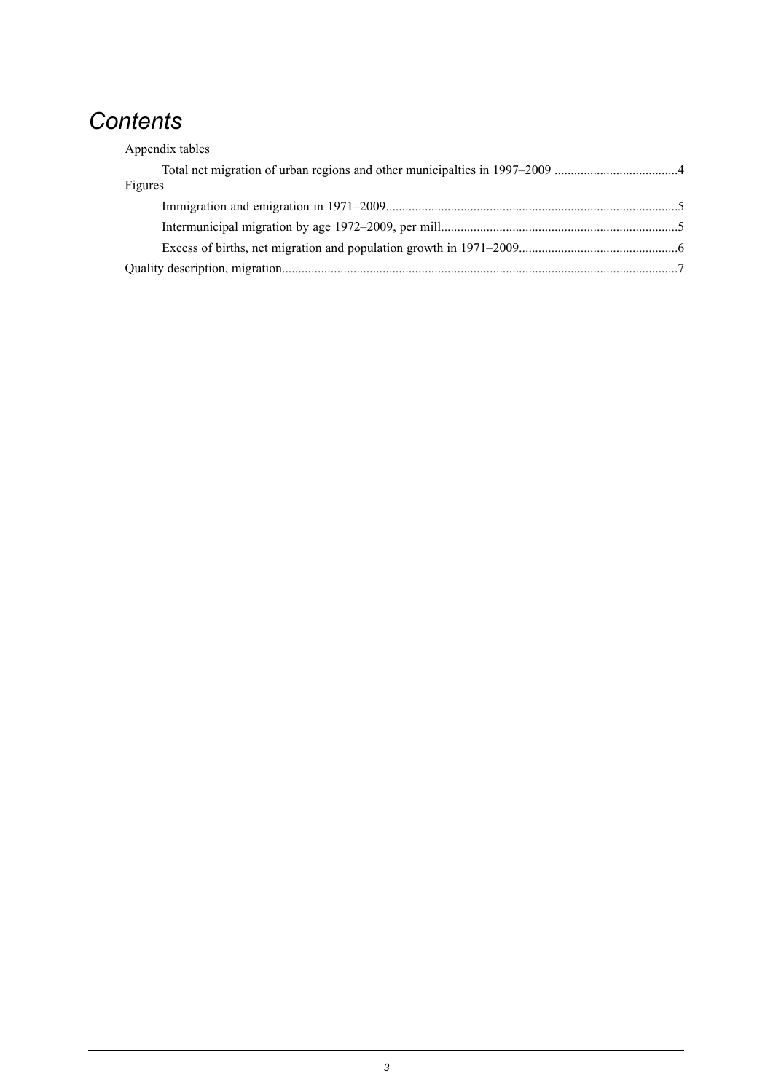## *Contents*

| Appendix tables |  |
|-----------------|--|
|                 |  |
| Figures         |  |
|                 |  |
|                 |  |
|                 |  |
|                 |  |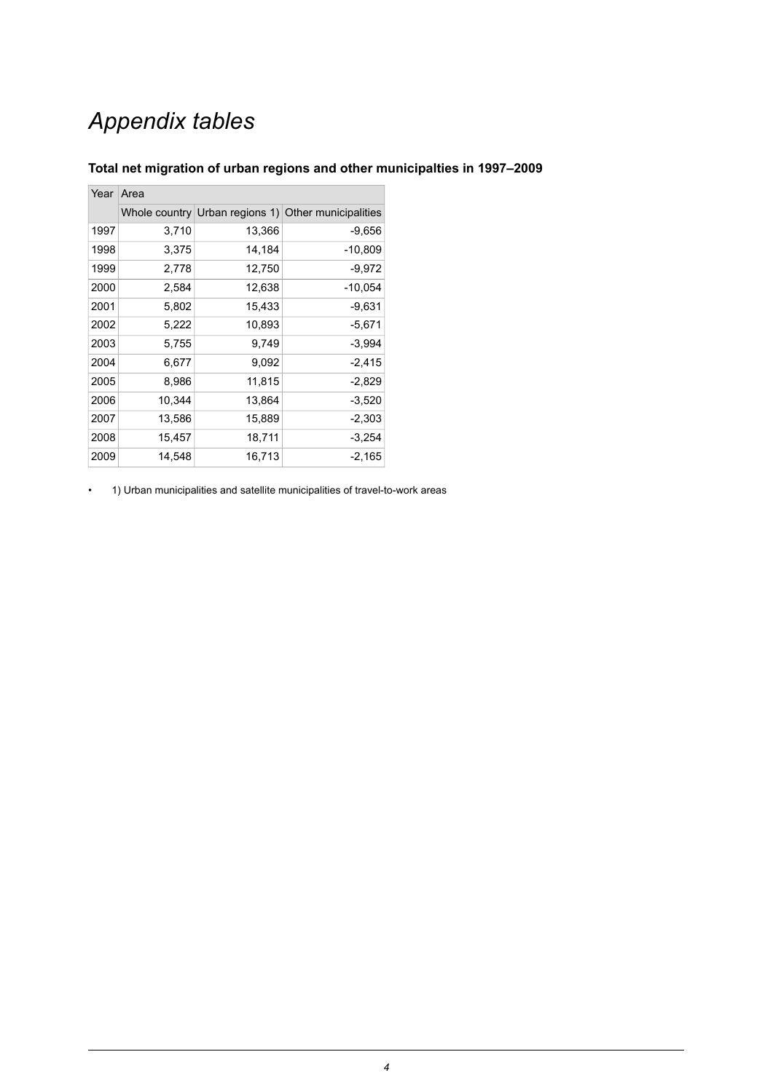## *Appendix tables*

| Year | Area   |        |                                                     |  |  |
|------|--------|--------|-----------------------------------------------------|--|--|
|      |        |        | Whole country Urban regions 1) Other municipalities |  |  |
| 1997 | 3,710  | 13,366 | $-9,656$                                            |  |  |
| 1998 | 3,375  | 14,184 | $-10,809$                                           |  |  |
| 1999 | 2,778  | 12,750 | -9,972                                              |  |  |
| 2000 | 2,584  | 12,638 | $-10,054$                                           |  |  |
| 2001 | 5,802  | 15,433 | -9,631                                              |  |  |
| 2002 | 5,222  | 10,893 | -5,671                                              |  |  |
| 2003 | 5,755  | 9,749  | $-3,994$                                            |  |  |
| 2004 | 6,677  | 9,092  | $-2,415$                                            |  |  |
| 2005 | 8,986  | 11,815 | $-2,829$                                            |  |  |
| 2006 | 10,344 | 13,864 | $-3,520$                                            |  |  |
| 2007 | 13,586 | 15,889 | $-2,303$                                            |  |  |
| 2008 | 15,457 | 18,711 | $-3,254$                                            |  |  |
| 2009 | 14,548 | 16,713 | $-2,165$                                            |  |  |

#### <span id="page-3-0"></span>**Total net migration of urban regions and other municipalties in 1997–2009**

• 1) Urban municipalities and satellite municipalities of travel-to-work areas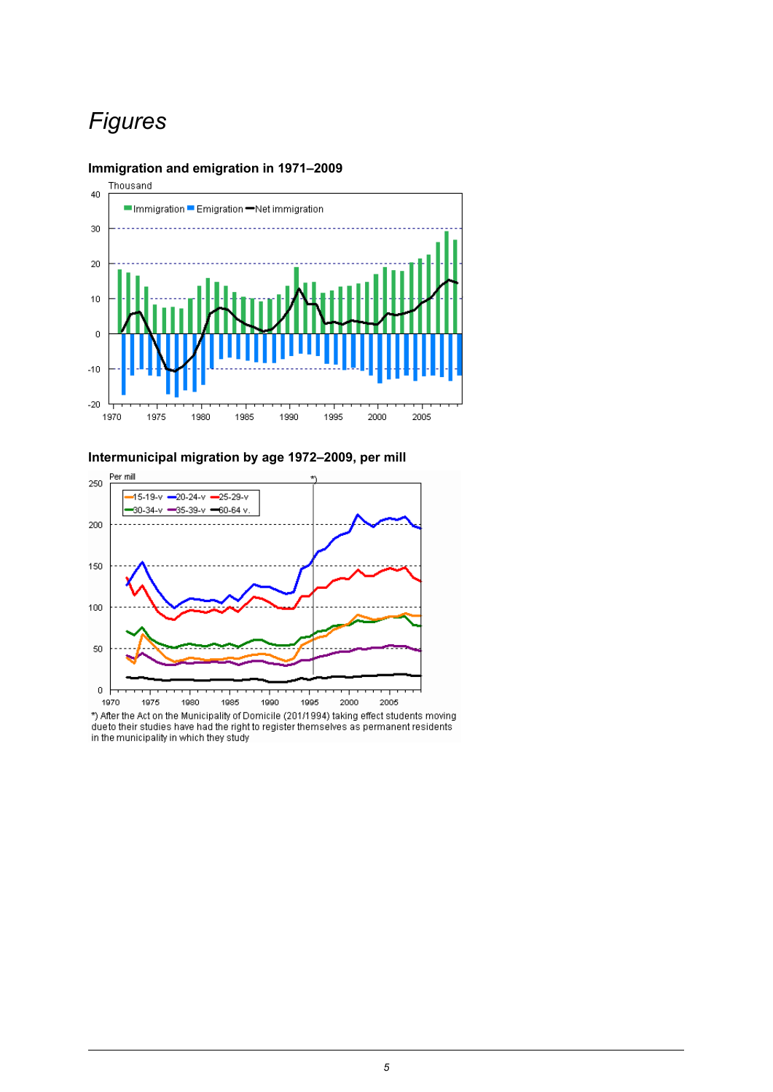## *Figures*

#### <span id="page-4-0"></span>**Immigration and emigration in 1971–2009**



<span id="page-4-1"></span>**Intermunicipal migration by age 1972–2009, per mill**



dueto their studies have had the right to register themselves as permanent residents in the municipality in which they study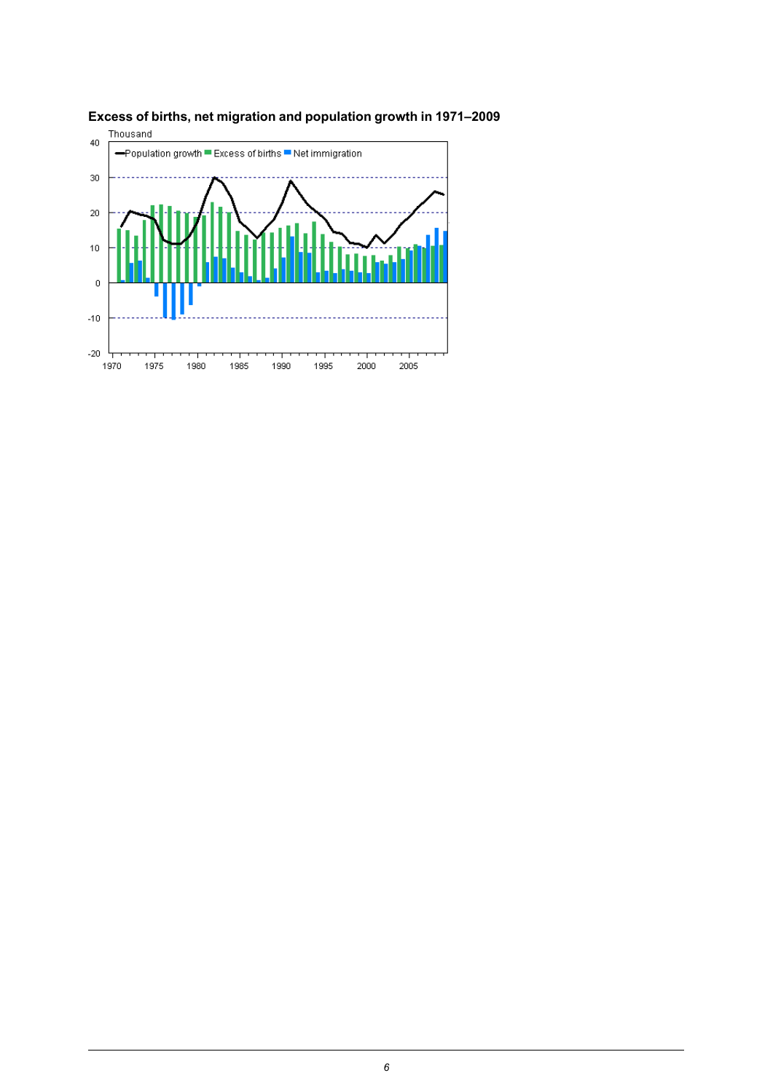

<span id="page-5-0"></span>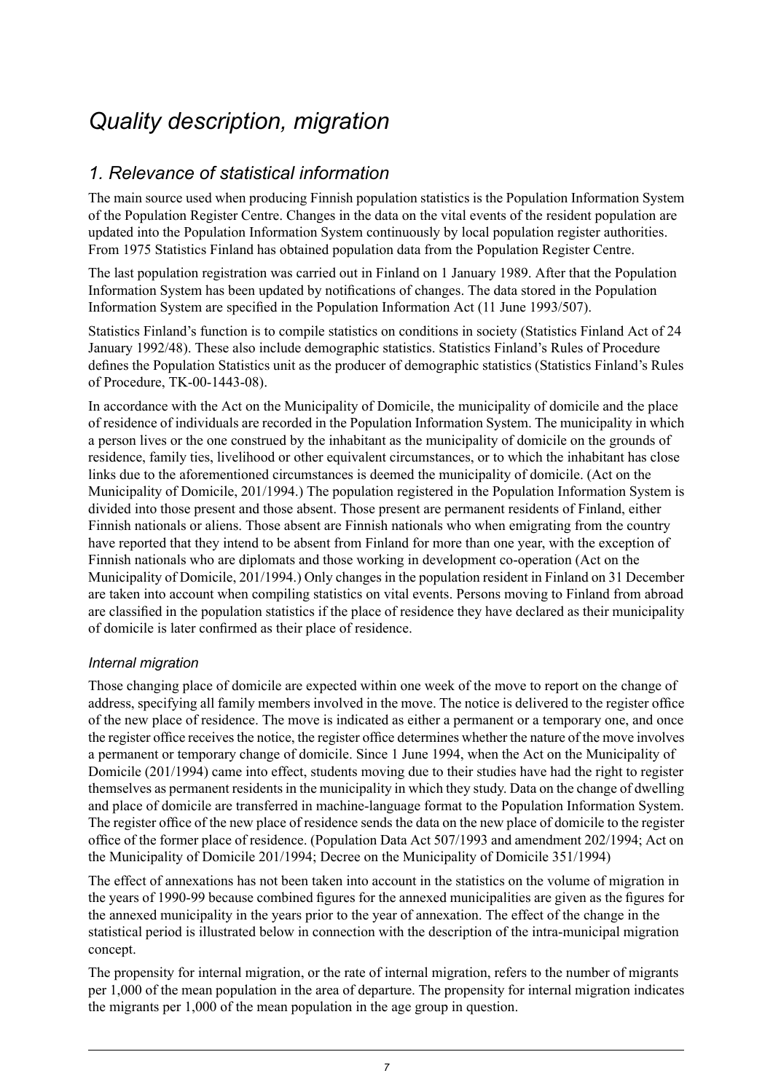## <span id="page-6-0"></span>*Quality description, migration*

### *1. Relevance of statistical information*

The main source used when producing Finnish population statistics is the Population Information System of the Population Register Centre. Changes in the data on the vital events of the resident population are updated into the Population Information System continuously by local population register authorities. From 1975 Statistics Finland has obtained population data from the Population Register Centre.

The last population registration was carried out in Finland on 1 January 1989. After that the Population Information System has been updated by notifications of changes. The data stored in the Population Information System are specified in the Population Information Act (11 June 1993/507).

Statistics Finland's function is to compile statistics on conditions in society (Statistics Finland Act of 24 January 1992/48). These also include demographic statistics. Statistics Finland's Rules of Procedure defines the Population Statistics unit as the producer of demographic statistics (Statistics Finland's Rules of Procedure, TK-00-1443-08).

In accordance with the Act on the Municipality of Domicile, the municipality of domicile and the place of residence of individuals are recorded in the Population Information System. The municipality in which a person lives or the one construed by the inhabitant as the municipality of domicile on the grounds of residence, family ties, livelihood or other equivalent circumstances, or to which the inhabitant has close links due to the aforementioned circumstances is deemed the municipality of domicile. (Act on the Municipality of Domicile, 201/1994.) The population registered in the Population Information System is divided into those present and those absent. Those present are permanent residents of Finland, either Finnish nationals or aliens. Those absent are Finnish nationals who when emigrating from the country have reported that they intend to be absent from Finland for more than one year, with the exception of Finnish nationals who are diplomats and those working in development co-operation (Act on the Municipality of Domicile, 201/1994.) Only changes in the population resident in Finland on 31 December are taken into account when compiling statistics on vital events. Persons moving to Finland from abroad are classified in the population statistics if the place of residence they have declared as their municipality of domicile is later confirmed as their place of residence.

#### *Internal migration*

Those changing place of domicile are expected within one week of the move to report on the change of address, specifying all family members involved in the move. The notice is delivered to the register office of the new place of residence. The move is indicated as either a permanent or a temporary one, and once the register office receives the notice, the register office determines whether the nature of the move involves a permanent or temporary change of domicile. Since 1 June 1994, when the Act on the Municipality of Domicile (201/1994) came into effect, students moving due to their studies have had the right to register themselves as permanent residents in the municipality in which they study. Data on the change of dwelling and place of domicile are transferred in machine-language format to the Population Information System. The register office of the new place of residence sends the data on the new place of domicile to the register office of the former place of residence. (Population Data Act 507/1993 and amendment 202/1994; Act on the Municipality of Domicile 201/1994; Decree on the Municipality of Domicile 351/1994)

The effect of annexations has not been taken into account in the statistics on the volume of migration in the years of 1990-99 because combined figures for the annexed municipalities are given as the figures for the annexed municipality in the years prior to the year of annexation. The effect of the change in the statistical period is illustrated below in connection with the description of the intra-municipal migration concept.

The propensity for internal migration, or the rate of internal migration, refers to the number of migrants per 1,000 of the mean population in the area of departure. The propensity for internal migration indicates the migrants per 1,000 of the mean population in the age group in question.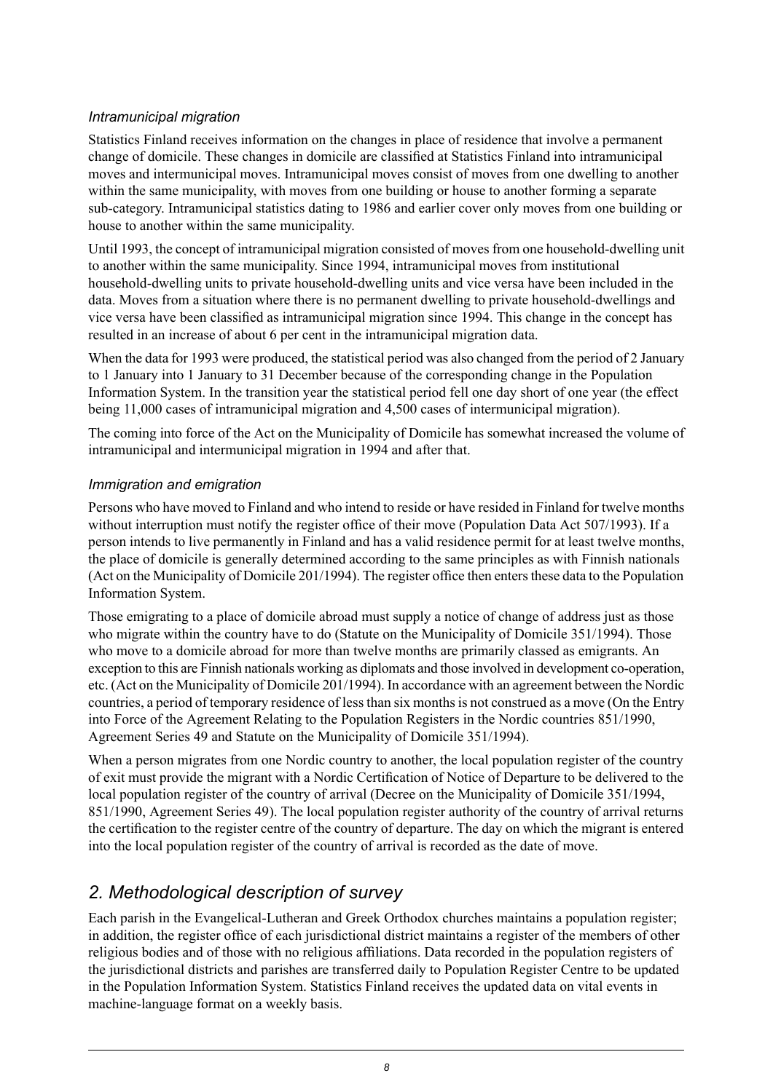#### *Intramunicipal migration*

Statistics Finland receives information on the changes in place of residence that involve a permanent change of domicile. These changes in domicile are classified at Statistics Finland into intramunicipal moves and intermunicipal moves. Intramunicipal moves consist of moves from one dwelling to another within the same municipality, with moves from one building or house to another forming a separate sub-category. Intramunicipal statistics dating to 1986 and earlier cover only moves from one building or house to another within the same municipality.

Until 1993, the concept of intramunicipal migration consisted of moves from one household-dwelling unit to another within the same municipality. Since 1994, intramunicipal moves from institutional household-dwelling units to private household-dwelling units and vice versa have been included in the data. Moves from a situation where there is no permanent dwelling to private household-dwellings and vice versa have been classified as intramunicipal migration since 1994. This change in the concept has resulted in an increase of about 6 per cent in the intramunicipal migration data.

When the data for 1993 were produced, the statistical period was also changed from the period of 2 January to 1 January into 1 January to 31 December because of the corresponding change in the Population Information System. In the transition year the statistical period fell one day short of one year (the effect being 11,000 cases of intramunicipal migration and 4,500 cases of intermunicipal migration).

The coming into force of the Act on the Municipality of Domicile has somewhat increased the volume of intramunicipal and intermunicipal migration in 1994 and after that.

#### *Immigration and emigration*

Persons who have moved to Finland and who intend to reside or have resided in Finland for twelve months without interruption must notify the register office of their move (Population Data Act 507/1993). If a person intends to live permanently in Finland and has a valid residence permit for at least twelve months, the place of domicile is generally determined according to the same principles as with Finnish nationals (Act on the Municipality of Domicile 201/1994). The register office then enters these data to the Population Information System.

Those emigrating to a place of domicile abroad must supply a notice of change of address just as those who migrate within the country have to do (Statute on the Municipality of Domicile 351/1994). Those who move to a domicile abroad for more than twelve months are primarily classed as emigrants. An exception to this are Finnish nationals working as diplomats and those involved in development co-operation, etc. (Act on the Municipality of Domicile 201/1994). In accordance with an agreement between the Nordic countries, a period of temporary residence of less than six months is not construed as a move (On the Entry into Force of the Agreement Relating to the Population Registers in the Nordic countries 851/1990, Agreement Series 49 and Statute on the Municipality of Domicile 351/1994).

When a person migrates from one Nordic country to another, the local population register of the country of exit must provide the migrant with a Nordic Certification of Notice of Departure to be delivered to the local population register of the country of arrival (Decree on the Municipality of Domicile 351/1994, 851/1990, Agreement Series 49). The local population register authority of the country of arrival returns the certification to the register centre of the country of departure. The day on which the migrant is entered into the local population register of the country of arrival is recorded as the date of move.

## *2. Methodological description of survey*

Each parish in the Evangelical-Lutheran and Greek Orthodox churches maintains a population register; in addition, the register office of each jurisdictional district maintains a register of the members of other religious bodies and of those with no religious affiliations. Data recorded in the population registers of the jurisdictional districts and parishes are transferred daily to Population Register Centre to be updated in the Population Information System. Statistics Finland receives the updated data on vital events in machine-language format on a weekly basis.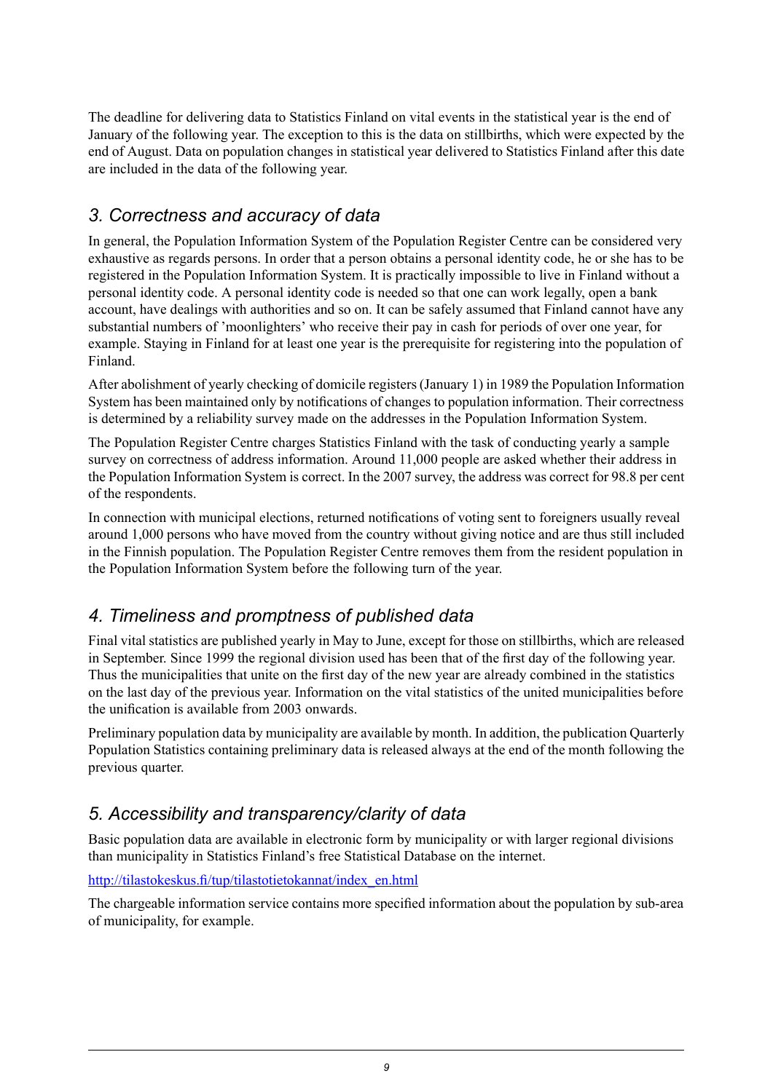The deadline for delivering data to Statistics Finland on vital events in the statistical year is the end of January of the following year. The exception to this is the data on stillbirths, which were expected by the end of August. Data on population changes in statistical year delivered to Statistics Finland after this date are included in the data of the following year.

### *3. Correctness and accuracy of data*

In general, the Population Information System of the Population Register Centre can be considered very exhaustive as regards persons. In order that a person obtains a personal identity code, he or she has to be registered in the Population Information System. It is practically impossible to live in Finland without a personal identity code. A personal identity code is needed so that one can work legally, open a bank account, have dealings with authorities and so on. It can be safely assumed that Finland cannot have any substantial numbers of 'moonlighters' who receive their pay in cash for periods of over one year, for example. Staying in Finland for at least one year is the prerequisite for registering into the population of Finland.

After abolishment of yearly checking of domicile registers (January 1) in 1989 the Population Information System has been maintained only by notifications of changes to population information. Their correctness is determined by a reliability survey made on the addresses in the Population Information System.

The Population Register Centre charges Statistics Finland with the task of conducting yearly a sample survey on correctness of address information. Around 11,000 people are asked whether their address in the Population Information System is correct. In the 2007 survey, the address was correct for 98.8 per cent of the respondents.

In connection with municipal elections, returned notifications of voting sent to foreigners usually reveal around 1,000 persons who have moved from the country without giving notice and are thus still included in the Finnish population. The Population Register Centre removes them from the resident population in the Population Information System before the following turn of the year.

### *4. Timeliness and promptness of published data*

Final vital statistics are published yearly in May to June, except for those on stillbirths, which are released in September. Since 1999 the regional division used has been that of the first day of the following year. Thus the municipalities that unite on the first day of the new year are already combined in the statistics on the last day of the previous year. Information on the vital statistics of the united municipalities before the unification is available from 2003 onwards.

Preliminary population data by municipality are available by month. In addition, the publication Quarterly Population Statistics containing preliminary data is released always at the end of the month following the previous quarter.

## *5. Accessibility and transparency/clarity of data*

Basic population data are available in electronic form by municipality or with larger regional divisions than municipality in Statistics Finland's free Statistical Database on the internet.

[http://tilastokeskus.fi/tup/tilastotietokannat/index\\_en.html](http://tilastokeskus.fi/tup/tilastotietokannat/index_en.html)

The chargeable information service contains more specified information about the population by sub-area of municipality, for example.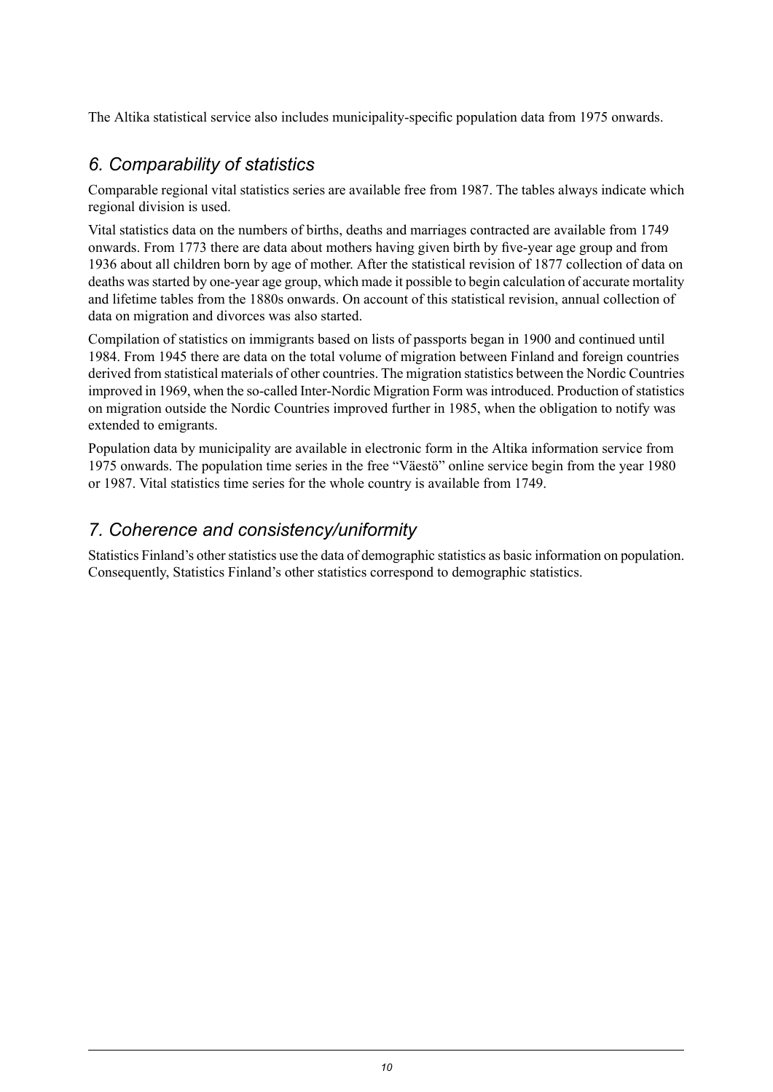The Altika statistical service also includes municipality-specific population data from 1975 onwards.

## *6. Comparability of statistics*

Comparable regional vital statistics series are available free from 1987. The tables always indicate which regional division is used.

Vital statistics data on the numbers of births, deaths and marriages contracted are available from 1749 onwards. From 1773 there are data about mothers having given birth by five-year age group and from 1936 about all children born by age of mother. After the statistical revision of 1877 collection of data on deaths was started by one-year age group, which made it possible to begin calculation of accurate mortality and lifetime tables from the 1880s onwards. On account of this statistical revision, annual collection of data on migration and divorces was also started.

Compilation of statistics on immigrants based on lists of passports began in 1900 and continued until 1984. From 1945 there are data on the total volume of migration between Finland and foreign countries derived from statistical materials of other countries. The migration statistics between the Nordic Countries improved in 1969, when the so-called Inter-Nordic Migration Form was introduced. Production of statistics on migration outside the Nordic Countries improved further in 1985, when the obligation to notify was extended to emigrants.

Population data by municipality are available in electronic form in the Altika information service from 1975 onwards. The population time series in the free "Väestö" online service begin from the year 1980 or 1987. Vital statistics time series for the whole country is available from 1749.

### *7. Coherence and consistency/uniformity*

Statistics Finland's other statistics use the data of demographic statistics as basic information on population. Consequently, Statistics Finland's other statistics correspond to demographic statistics.